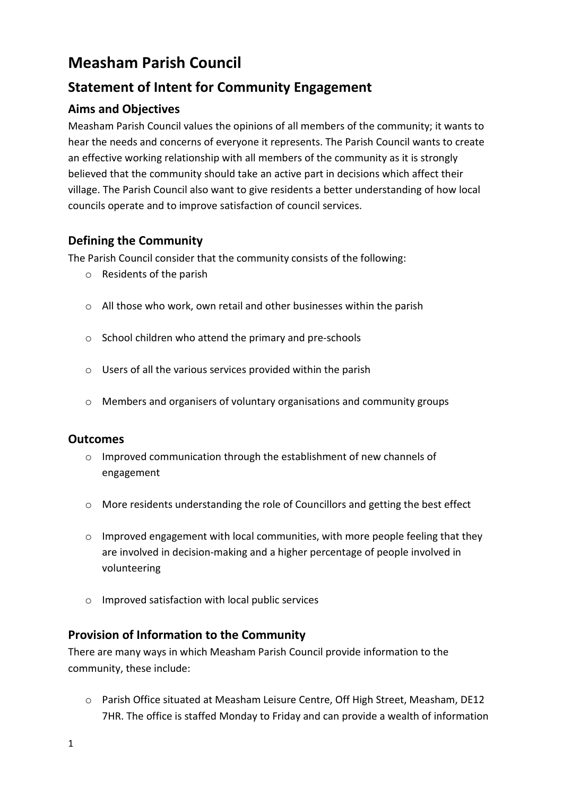# **Measham Parish Council**

# **Statement of Intent for Community Engagement**

## **Aims and Objectives**

Measham Parish Council values the opinions of all members of the community; it wants to hear the needs and concerns of everyone it represents. The Parish Council wants to create an effective working relationship with all members of the community as it is strongly believed that the community should take an active part in decisions which affect their village. The Parish Council also want to give residents a better understanding of how local councils operate and to improve satisfaction of council services.

### **Defining the Community**

The Parish Council consider that the community consists of the following:

- o Residents of the parish
- o All those who work, own retail and other businesses within the parish
- o School children who attend the primary and pre-schools
- o Users of all the various services provided within the parish
- o Members and organisers of voluntary organisations and community groups

#### **Outcomes**

- o Improved communication through the establishment of new channels of engagement
- o More residents understanding the role of Councillors and getting the best effect
- o Improved engagement with local communities, with more people feeling that they are involved in decision-making and a higher percentage of people involved in volunteering
- o Improved satisfaction with local public services

#### **Provision of Information to the Community**

There are many ways in which Measham Parish Council provide information to the community, these include:

o Parish Office situated at Measham Leisure Centre, Off High Street, Measham, DE12 7HR. The office is staffed Monday to Friday and can provide a wealth of information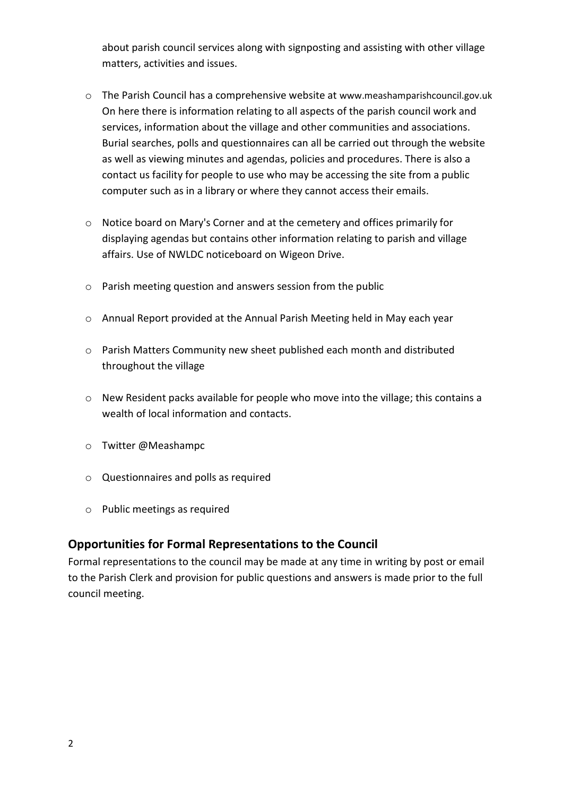about parish council services along with signposting and assisting with other village matters, activities and issues.

- o The Parish Council has a comprehensive website at www.meashamparishcouncil.gov.uk On here there is information relating to all aspects of the parish council work and services, information about the village and other communities and associations. Burial searches, polls and questionnaires can all be carried out through the website as well as viewing minutes and agendas, policies and procedures. There is also a contact us facility for people to use who may be accessing the site from a public computer such as in a library or where they cannot access their emails.
- o Notice board on Mary's Corner and at the cemetery and offices primarily for displaying agendas but contains other information relating to parish and village affairs. Use of NWLDC noticeboard on Wigeon Drive.
- o Parish meeting question and answers session from the public
- o Annual Report provided at the Annual Parish Meeting held in May each year
- o Parish Matters Community new sheet published each month and distributed throughout the village
- o New Resident packs available for people who move into the village; this contains a wealth of local information and contacts.
- o Twitter @Meashampc
- o Questionnaires and polls as required
- o Public meetings as required

#### **Opportunities for Formal Representations to the Council**

Formal representations to the council may be made at any time in writing by post or email to the Parish Clerk and provision for public questions and answers is made prior to the full council meeting.